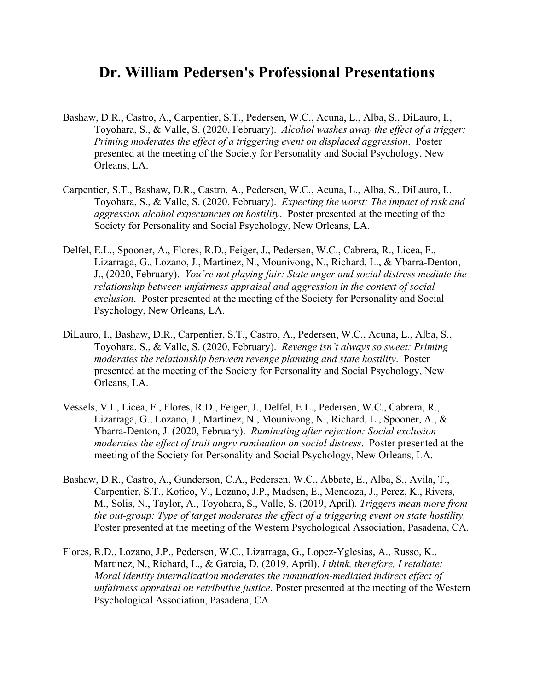## **Dr. William Pedersen's Professional Presentations**

- Bashaw, D.R., Castro, A., Carpentier, S.T., Pedersen, W.C., Acuna, L., Alba, S., DiLauro, I., Toyohara, S., & Valle, S. (2020, February). *Alcohol washes away the effect of a trigger: Priming moderates the effect of a triggering event on displaced aggression*. Poster presented at the meeting of the Society for Personality and Social Psychology, New Orleans, LA.
- Carpentier, S.T., Bashaw, D.R., Castro, A., Pedersen, W.C., Acuna, L., Alba, S., DiLauro, I., Toyohara, S., & Valle, S. (2020, February). *Expecting the worst: The impact of risk and aggression alcohol expectancies on hostility*. Poster presented at the meeting of the Society for Personality and Social Psychology, New Orleans, LA.
- Delfel, E.L., Spooner, A., Flores, R.D., Feiger, J., Pedersen, W.C., Cabrera, R., Licea, F., Lizarraga, G., Lozano, J., Martinez, N., Mounivong, N., Richard, L., & Ybarra-Denton, J., (2020, February). *You're not playing fair: State anger and social distress mediate the relationship between unfairness appraisal and aggression in the context of social exclusion*. Poster presented at the meeting of the Society for Personality and Social Psychology, New Orleans, LA.
- DiLauro, I., Bashaw, D.R., Carpentier, S.T., Castro, A., Pedersen, W.C., Acuna, L., Alba, S., Toyohara, S., & Valle, S. (2020, February). *Revenge isn't always so sweet: Priming moderates the relationship between revenge planning and state hostility*. Poster presented at the meeting of the Society for Personality and Social Psychology, New Orleans, LA.
- Vessels, V.L, Licea, F., Flores, R.D., Feiger, J., Delfel, E.L., Pedersen, W.C., Cabrera, R., Lizarraga, G., Lozano, J., Martinez, N., Mounivong, N., Richard, L., Spooner, A., & Ybarra-Denton, J. (2020, February). *Ruminating after rejection: Social exclusion moderates the effect of trait angry rumination on social distress*. Poster presented at the meeting of the Society for Personality and Social Psychology, New Orleans, LA.
- Bashaw, D.R., Castro, A., Gunderson, C.A., Pedersen, W.C., Abbate, E., Alba, S., Avila, T., Carpentier, S.T., Kotico, V., Lozano, J.P., Madsen, E., Mendoza, J., Perez, K., Rivers, M., Solis, N., Taylor, A., Toyohara, S., Valle, S. (2019, April). *Triggers mean more from the out-group: Type of target moderates the effect of a triggering event on state hostility.* Poster presented at the meeting of the Western Psychological Association, Pasadena, CA.
- Flores, R.D., Lozano, J.P., Pedersen, W.C., Lizarraga, G., Lopez-Yglesias, A., Russo, K., Martinez, N., Richard, L., & Garcia, D. (2019, April). *I think, therefore, I retaliate: Moral identity internalization moderates the rumination-mediated indirect effect of unfairness appraisal on retributive justice*. Poster presented at the meeting of the Western Psychological Association, Pasadena, CA.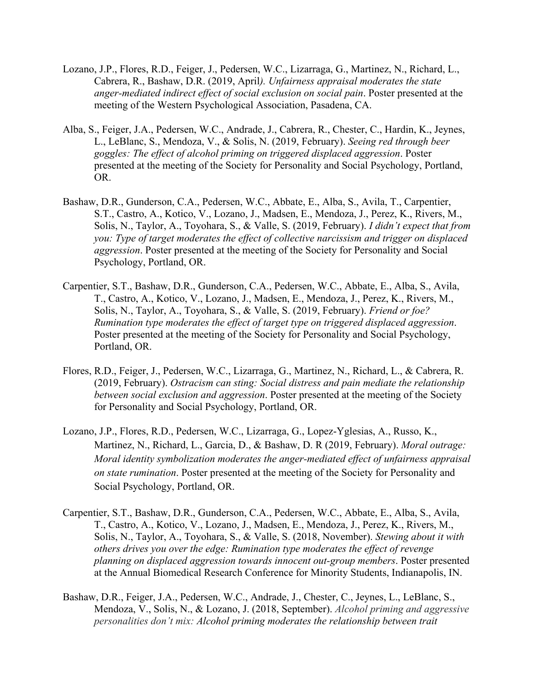- Lozano, J.P., Flores, R.D., Feiger, J., Pedersen, W.C., Lizarraga, G., Martinez, N., Richard, L., Cabrera, R., Bashaw, D.R. (2019, April*). Unfairness appraisal moderates the state anger-mediated indirect effect of social exclusion on social pain*. Poster presented at the meeting of the Western Psychological Association, Pasadena, CA.
- Alba, S., Feiger, J.A., Pedersen, W.C., Andrade, J., Cabrera, R., Chester, C., Hardin, K., Jeynes, L., LeBlanc, S., Mendoza, V., & Solis, N. (2019, February). *Seeing red through beer goggles: The effect of alcohol priming on triggered displaced aggression*. Poster presented at the meeting of the Society for Personality and Social Psychology, Portland, OR.
- Bashaw, D.R., Gunderson, C.A., Pedersen, W.C., Abbate, E., Alba, S., Avila, T., Carpentier, S.T., Castro, A., Kotico, V., Lozano, J., Madsen, E., Mendoza, J., Perez, K., Rivers, M., Solis, N., Taylor, A., Toyohara, S., & Valle, S. (2019, February). *I didn't expect that from you: Type of target moderates the effect of collective narcissism and trigger on displaced aggression*. Poster presented at the meeting of the Society for Personality and Social Psychology, Portland, OR.
- Carpentier, S.T., Bashaw, D.R., Gunderson, C.A., Pedersen, W.C., Abbate, E., Alba, S., Avila, T., Castro, A., Kotico, V., Lozano, J., Madsen, E., Mendoza, J., Perez, K., Rivers, M., Solis, N., Taylor, A., Toyohara, S., & Valle, S. (2019, February). *Friend or foe? Rumination type moderates the effect of target type on triggered displaced aggression*. Poster presented at the meeting of the Society for Personality and Social Psychology, Portland, OR.
- Flores, R.D., Feiger, J., Pedersen, W.C., Lizarraga, G., Martinez, N., Richard, L., & Cabrera, R. (2019, February). *Ostracism can sting: Social distress and pain mediate the relationship between social exclusion and aggression*. Poster presented at the meeting of the Society for Personality and Social Psychology, Portland, OR.
- Lozano, J.P., Flores, R.D., Pedersen, W.C., Lizarraga, G., Lopez-Yglesias, A., Russo, K., Martinez, N., Richard, L., Garcia, D., & Bashaw, D. R (2019, February). *Moral outrage: Moral identity symbolization moderates the anger-mediated effect of unfairness appraisal on state rumination*. Poster presented at the meeting of the Society for Personality and Social Psychology, Portland, OR.
- Carpentier, S.T., Bashaw, D.R., Gunderson, C.A., Pedersen, W.C., Abbate, E., Alba, S., Avila, T., Castro, A., Kotico, V., Lozano, J., Madsen, E., Mendoza, J., Perez, K., Rivers, M., Solis, N., Taylor, A., Toyohara, S., & Valle, S. (2018, November). *Stewing about it with others drives you over the edge: Rumination type moderates the effect of revenge planning on displaced aggression towards innocent out-group members*. Poster presented at the Annual Biomedical Research Conference for Minority Students, Indianapolis, IN.
- Bashaw, D.R., Feiger, J.A., Pedersen, W.C., Andrade, J., Chester, C., Jeynes, L., LeBlanc, S., Mendoza, V., Solis, N., & Lozano, J. (2018, September). *Alcohol priming and aggressive personalities don't mix: Alcohol priming moderates the relationship between trait*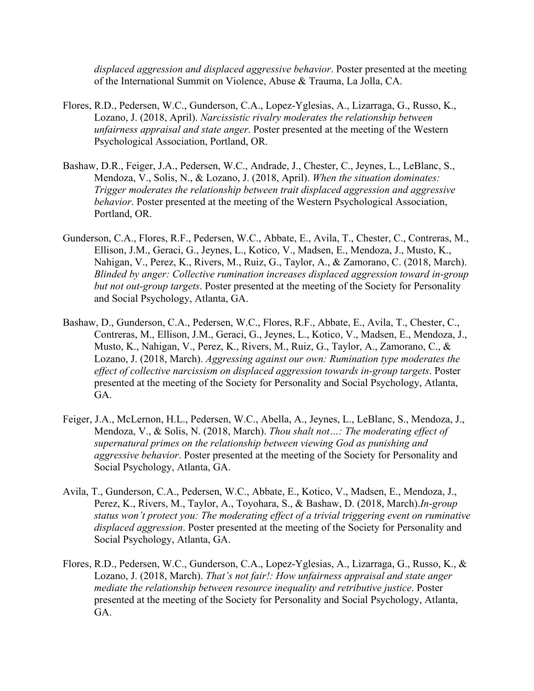*displaced aggression and displaced aggressive behavior*. Poster presented at the meeting of the International Summit on Violence, Abuse & Trauma, La Jolla, CA.

- Flores, R.D., Pedersen, W.C., Gunderson, C.A., Lopez-Yglesias, A., Lizarraga, G., Russo, K., Lozano, J. (2018, April). *Narcissistic rivalry moderates the relationship between unfairness appraisal and state anger*. Poster presented at the meeting of the Western Psychological Association, Portland, OR.
- Bashaw, D.R., Feiger, J.A., Pedersen, W.C., Andrade, J., Chester, C., Jeynes, L., LeBlanc, S., Mendoza, V., Solis, N., & Lozano, J. (2018, April). *When the situation dominates: Trigger moderates the relationship between trait displaced aggression and aggressive behavior*. Poster presented at the meeting of the Western Psychological Association, Portland, OR.
- Gunderson, C.A., Flores, R.F., Pedersen, W.C., Abbate, E., Avila, T., Chester, C., Contreras, M., Ellison, J.M., Geraci, G., Jeynes, L., Kotico, V., Madsen, E., Mendoza, J., Musto, K., Nahigan, V., Perez, K., Rivers, M., Ruiz, G., Taylor, A., & Zamorano, C. (2018, March). *Blinded by anger: Collective rumination increases displaced aggression toward in-group but not out-group targets*. Poster presented at the meeting of the Society for Personality and Social Psychology, Atlanta, GA.
- Bashaw, D., Gunderson, C.A., Pedersen, W.C., Flores, R.F., Abbate, E., Avila, T., Chester, C., Contreras, M., Ellison, J.M., Geraci, G., Jeynes, L., Kotico, V., Madsen, E., Mendoza, J., Musto, K., Nahigan, V., Perez, K., Rivers, M., Ruiz, G., Taylor, A., Zamorano, C., & Lozano, J. (2018, March). *Aggressing against our own: Rumination type moderates the effect of collective narcissism on displaced aggression towards in-group targets*. Poster presented at the meeting of the Society for Personality and Social Psychology, Atlanta, GA.
- Feiger, J.A., McLernon, H.L., Pedersen, W.C., Abella, A., Jeynes, L., LeBlanc, S., Mendoza, J., Mendoza, V., & Solis, N. (2018, March). *Thou shalt not…: The moderating effect of supernatural primes on the relationship between viewing God as punishing and aggressive behavior*. Poster presented at the meeting of the Society for Personality and Social Psychology, Atlanta, GA.
- Avila, T., Gunderson, C.A., Pedersen, W.C., Abbate, E., Kotico, V., Madsen, E., Mendoza, J., Perez, K., Rivers, M., Taylor, A., Toyohara, S., & Bashaw, D. (2018, March).*In-group status won't protect you: The moderating effect of a trivial triggering event on ruminative displaced aggression*. Poster presented at the meeting of the Society for Personality and Social Psychology, Atlanta, GA.
- Flores, R.D., Pedersen, W.C., Gunderson, C.A., Lopez-Yglesias, A., Lizarraga, G., Russo, K., & Lozano, J. (2018, March). *That's not fair!: How unfairness appraisal and state anger mediate the relationship between resource inequality and retributive justice*. Poster presented at the meeting of the Society for Personality and Social Psychology, Atlanta, GA.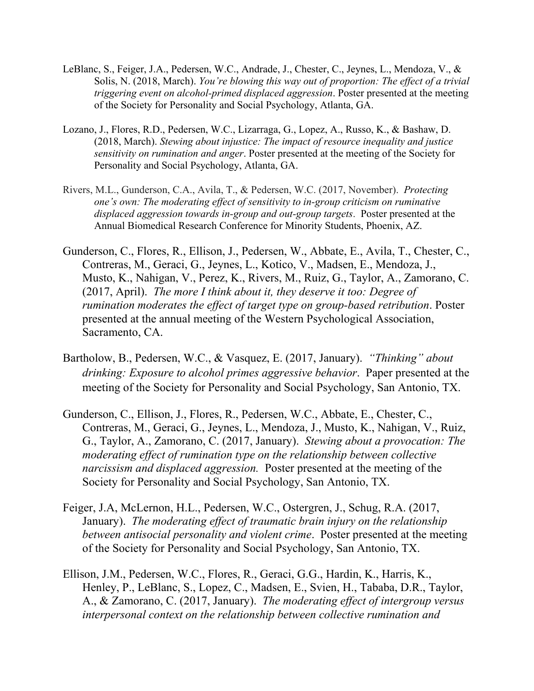- LeBlanc, S., Feiger, J.A., Pedersen, W.C., Andrade, J., Chester, C., Jeynes, L., Mendoza, V., & Solis, N. (2018, March). *You're blowing this way out of proportion: The effect of a trivial triggering event on alcohol-primed displaced aggression*. Poster presented at the meeting of the Society for Personality and Social Psychology, Atlanta, GA.
- Lozano, J., Flores, R.D., Pedersen, W.C., Lizarraga, G., Lopez, A., Russo, K., & Bashaw, D. (2018, March). *Stewing about injustice: The impact of resource inequality and justice sensitivity on rumination and anger*. Poster presented at the meeting of the Society for Personality and Social Psychology, Atlanta, GA.
- Rivers, M.L., Gunderson, C.A., Avila, T., & Pedersen, W.C. (2017, November). *Protecting one's own: The moderating effect of sensitivity to in-group criticism on ruminative displaced aggression towards in-group and out-group targets*. Poster presented at the Annual Biomedical Research Conference for Minority Students, Phoenix, AZ.
- Gunderson, C., Flores, R., Ellison, J., Pedersen, W., Abbate, E., Avila, T., Chester, C., Contreras, M., Geraci, G., Jeynes, L., Kotico, V., Madsen, E., Mendoza, J., Musto, K., Nahigan, V., Perez, K., Rivers, M., Ruiz, G., Taylor, A., Zamorano, C. (2017, April). *The more I think about it, they deserve it too: Degree of rumination moderates the effect of target type on group-based retribution*. Poster presented at the annual meeting of the Western Psychological Association, Sacramento, CA.
- Bartholow, B., Pedersen, W.C., & Vasquez, E. (2017, January). *"Thinking" about drinking: Exposure to alcohol primes aggressive behavior*. Paper presented at the meeting of the Society for Personality and Social Psychology, San Antonio, TX.
- Gunderson, C., Ellison, J., Flores, R., Pedersen, W.C., Abbate, E., Chester, C., Contreras, M., Geraci, G., Jeynes, L., Mendoza, J., Musto, K., Nahigan, V., Ruiz, G., Taylor, A., Zamorano, C. (2017, January). *Stewing about a provocation: The moderating effect of rumination type on the relationship between collective narcissism and displaced aggression.* Poster presented at the meeting of the Society for Personality and Social Psychology, San Antonio, TX.
- Feiger, J.A, McLernon, H.L., Pedersen, W.C., Ostergren, J., Schug, R.A. (2017, January). *The moderating effect of traumatic brain injury on the relationship between antisocial personality and violent crime*. Poster presented at the meeting of the Society for Personality and Social Psychology, San Antonio, TX.
- Ellison, J.M., Pedersen, W.C., Flores, R., Geraci, G.G., Hardin, K., Harris, K., Henley, P., LeBlanc, S., Lopez, C., Madsen, E., Svien, H., Tababa, D.R., Taylor, A., & Zamorano, C. (2017, January). *The moderating effect of intergroup versus interpersonal context on the relationship between collective rumination and*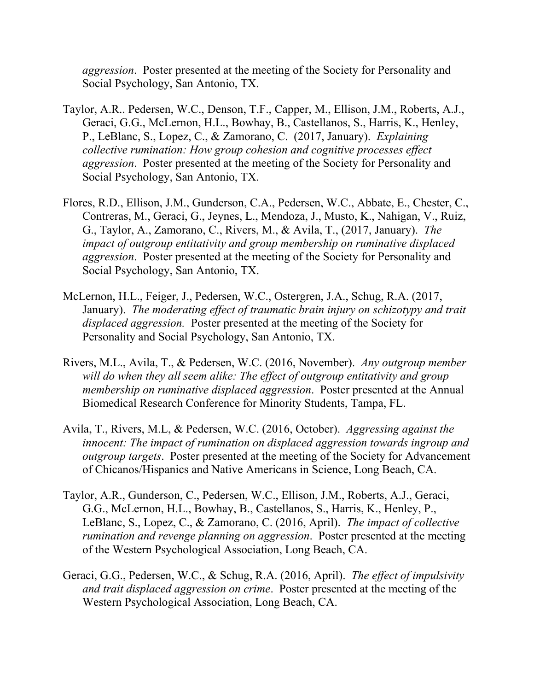*aggression*. Poster presented at the meeting of the Society for Personality and Social Psychology, San Antonio, TX.

- Taylor, A.R.. Pedersen, W.C., Denson, T.F., Capper, M., Ellison, J.M., Roberts, A.J., Geraci, G.G., McLernon, H.L., Bowhay, B., Castellanos, S., Harris, K., Henley, P., LeBlanc, S., Lopez, C., & Zamorano, C. (2017, January). *Explaining collective rumination: How group cohesion and cognitive processes effect aggression*. Poster presented at the meeting of the Society for Personality and Social Psychology, San Antonio, TX.
- Flores, R.D., Ellison, J.M., Gunderson, C.A., Pedersen, W.C., Abbate, E., Chester, C., Contreras, M., Geraci, G., Jeynes, L., Mendoza, J., Musto, K., Nahigan, V., Ruiz, G., Taylor, A., Zamorano, C., Rivers, M., & Avila, T., (2017, January). *The impact of outgroup entitativity and group membership on ruminative displaced aggression*. Poster presented at the meeting of the Society for Personality and Social Psychology, San Antonio, TX.
- McLernon, H.L., Feiger, J., Pedersen, W.C., Ostergren, J.A., Schug, R.A. (2017, January). *The moderating effect of traumatic brain injury on schizotypy and trait displaced aggression.* Poster presented at the meeting of the Society for Personality and Social Psychology, San Antonio, TX.
- Rivers, M.L., Avila, T., & Pedersen, W.C. (2016, November). *Any outgroup member*  will do when they all seem alike: The effect of outgroup entitativity and group *membership on ruminative displaced aggression*. Poster presented at the Annual Biomedical Research Conference for Minority Students, Tampa, FL.
- Avila, T., Rivers, M.L, & Pedersen, W.C. (2016, October). *Aggressing against the innocent: The impact of rumination on displaced aggression towards ingroup and outgroup targets*. Poster presented at the meeting of the Society for Advancement of Chicanos/Hispanics and Native Americans in Science, Long Beach, CA.
- Taylor, A.R., Gunderson, C., Pedersen, W.C., Ellison, J.M., Roberts, A.J., Geraci, G.G., McLernon, H.L., Bowhay, B., Castellanos, S., Harris, K., Henley, P., LeBlanc, S., Lopez, C., & Zamorano, C. (2016, April). *The impact of collective rumination and revenge planning on aggression*. Poster presented at the meeting of the Western Psychological Association, Long Beach, CA.
- Geraci, G.G., Pedersen, W.C., & Schug, R.A. (2016, April). *The effect of impulsivity and trait displaced aggression on crime*. Poster presented at the meeting of the Western Psychological Association, Long Beach, CA.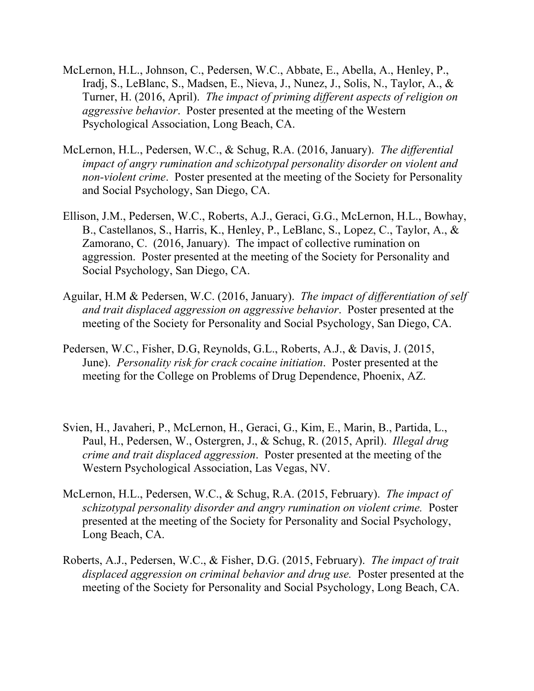- McLernon, H.L., Johnson, C., Pedersen, W.C., Abbate, E., Abella, A., Henley, P., Iradj, S., LeBlanc, S., Madsen, E., Nieva, J., Nunez, J., Solis, N., Taylor, A., & Turner, H. (2016, April). *The impact of priming different aspects of religion on aggressive behavior*. Poster presented at the meeting of the Western Psychological Association, Long Beach, CA.
- McLernon, H.L., Pedersen, W.C., & Schug, R.A. (2016, January). *The differential impact of angry rumination and schizotypal personality disorder on violent and non-violent crime*. Poster presented at the meeting of the Society for Personality and Social Psychology, San Diego, CA.
- Ellison, J.M., Pedersen, W.C., Roberts, A.J., Geraci, G.G., McLernon, H.L., Bowhay, B., Castellanos, S., Harris, K., Henley, P., LeBlanc, S., Lopez, C., Taylor, A., & Zamorano, C. (2016, January). The impact of collective rumination on aggression. Poster presented at the meeting of the Society for Personality and Social Psychology, San Diego, CA.
- Aguilar, H.M & Pedersen, W.C. (2016, January). *The impact of differentiation of self and trait displaced aggression on aggressive behavior*. Poster presented at the meeting of the Society for Personality and Social Psychology, San Diego, CA.
- Pedersen, W.C., Fisher, D.G, Reynolds, G.L., Roberts, A.J., & Davis, J. (2015, June). *Personality risk for crack cocaine initiation*. Poster presented at the meeting for the College on Problems of Drug Dependence, Phoenix, AZ.
- Svien, H., Javaheri, P., McLernon, H., Geraci, G., Kim, E., Marin, B., Partida, L., Paul, H., Pedersen, W., Ostergren, J., & Schug, R. (2015, April). *Illegal drug crime and trait displaced aggression*. Poster presented at the meeting of the Western Psychological Association, Las Vegas, NV.
- McLernon, H.L., Pedersen, W.C., & Schug, R.A. (2015, February). *The impact of schizotypal personality disorder and angry rumination on violent crime.* Poster presented at the meeting of the Society for Personality and Social Psychology, Long Beach, CA.
- Roberts, A.J., Pedersen, W.C., & Fisher, D.G. (2015, February). *The impact of trait displaced aggression on criminal behavior and drug use.* Poster presented at the meeting of the Society for Personality and Social Psychology, Long Beach, CA.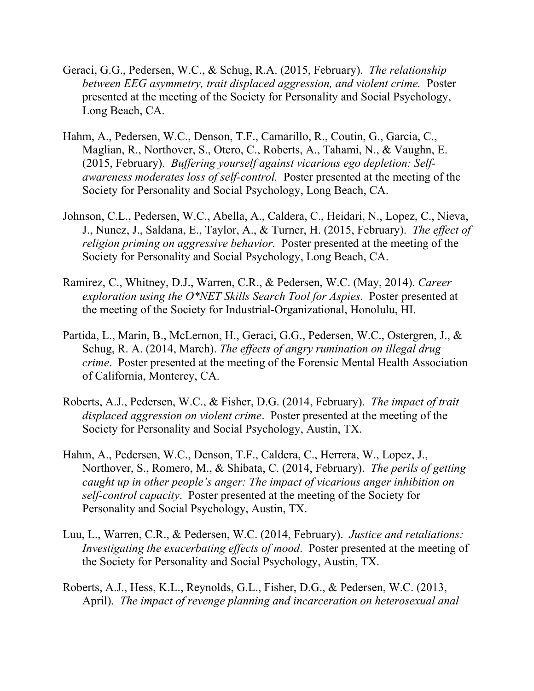- Geraci, G.G., Pedersen, W.C., & Schug, R.A. (2015, February). *The relationship between EEG asymmetry, trait displaced aggression, and violent crime.* Poster presented at the meeting of the Society for Personality and Social Psychology, Long Beach, CA.
- Hahm, A., Pedersen, W.C., Denson, T.F., Camarillo, R., Coutin, G., Garcia, C., Maglian, R., Northover, S., Otero, C., Roberts, A., Tahami, N., & Vaughn, E. (2015, February). *Buffering yourself against vicarious ego depletion: Selfawareness moderates loss of self-control.* Poster presented at the meeting of the Society for Personality and Social Psychology, Long Beach, CA.
- Johnson, C.L., Pedersen, W.C., Abella, A., Caldera, C., Heidari, N., Lopez, C., Nieva, J., Nunez, J., Saldana, E., Taylor, A., & Turner, H. (2015, February). *The effect of religion priming on aggressive behavior.* Poster presented at the meeting of the Society for Personality and Social Psychology, Long Beach, CA.
- Ramirez, C., Whitney, D.J., Warren, C.R., & Pedersen, W.C. (May, 2014). *Career exploration using the O\*NET Skills Search Tool for Aspies*. Poster presented at the meeting of the Society for Industrial-Organizational, Honolulu, HI.
- Partida, L., Marin, B., McLernon, H., Geraci, G.G., Pedersen, W.C., Ostergren, J., & Schug, R. A. (2014, March). *The effects of angry rumination on illegal drug crime*. Poster presented at the meeting of the Forensic Mental Health Association of California, Monterey, CA.
- Roberts, A.J., Pedersen, W.C., & Fisher, D.G. (2014, February). *The impact of trait displaced aggression on violent crime*. Poster presented at the meeting of the Society for Personality and Social Psychology, Austin, TX.
- Hahm, A., Pedersen, W.C., Denson, T.F., Caldera, C., Herrera, W., Lopez, J., Northover, S., Romero, M., & Shibata, C. (2014, February). *The perils of getting caught up in other people's anger: The impact of vicarious anger inhibition on self-control capacity*. Poster presented at the meeting of the Society for Personality and Social Psychology, Austin, TX.
- Luu, L., Warren, C.R., & Pedersen, W.C. (2014, February). *Justice and retaliations: Investigating the exacerbating effects of mood*. Poster presented at the meeting of the Society for Personality and Social Psychology, Austin, TX.
- Roberts, A.J., Hess, K.L., Reynolds, G.L., Fisher, D.G., & Pedersen, W.C. (2013, April). *The impact of revenge planning and incarceration on heterosexual anal*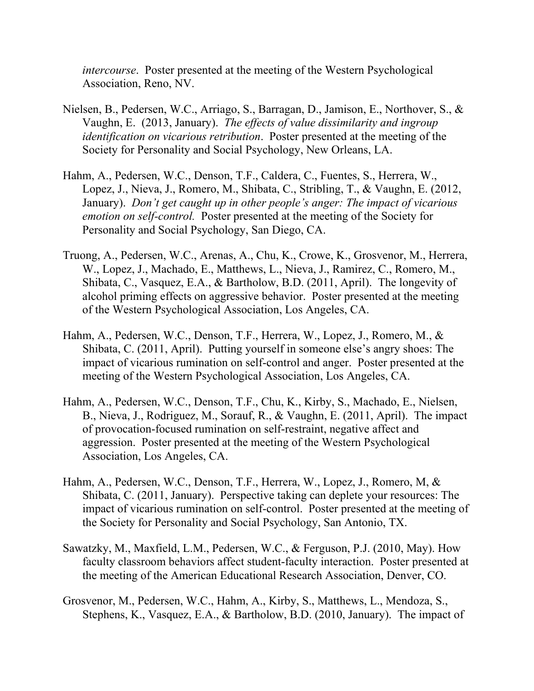*intercourse*. Poster presented at the meeting of the Western Psychological Association, Reno, NV.

- Nielsen, B., Pedersen, W.C., Arriago, S., Barragan, D., Jamison, E., Northover, S., & Vaughn, E. (2013, January). *The effects of value dissimilarity and ingroup identification on vicarious retribution*. Poster presented at the meeting of the Society for Personality and Social Psychology, New Orleans, LA.
- Hahm, A., Pedersen, W.C., Denson, T.F., Caldera, C., Fuentes, S., Herrera, W., Lopez, J., Nieva, J., Romero, M., Shibata, C., Stribling, T., & Vaughn, E. (2012, January). *Don't get caught up in other people's anger: The impact of vicarious emotion on self-control.* Poster presented at the meeting of the Society for Personality and Social Psychology, San Diego, CA.
- Truong, A., Pedersen, W.C., Arenas, A., Chu, K., Crowe, K., Grosvenor, M., Herrera, W., Lopez, J., Machado, E., Matthews, L., Nieva, J., Ramirez, C., Romero, M., Shibata, C., Vasquez, E.A., & Bartholow, B.D. (2011, April). The longevity of alcohol priming effects on aggressive behavior. Poster presented at the meeting of the Western Psychological Association, Los Angeles, CA.
- Hahm, A., Pedersen, W.C., Denson, T.F., Herrera, W., Lopez, J., Romero, M., & Shibata, C. (2011, April). Putting yourself in someone else's angry shoes: The impact of vicarious rumination on self-control and anger. Poster presented at the meeting of the Western Psychological Association, Los Angeles, CA.
- Hahm, A., Pedersen, W.C., Denson, T.F., Chu, K., Kirby, S., Machado, E., Nielsen, B., Nieva, J., Rodriguez, M., Sorauf, R., & Vaughn, E. (2011, April). The impact of provocation-focused rumination on self-restraint, negative affect and aggression. Poster presented at the meeting of the Western Psychological Association, Los Angeles, CA.
- Hahm, A., Pedersen, W.C., Denson, T.F., Herrera, W., Lopez, J., Romero, M, & Shibata, C. (2011, January). Perspective taking can deplete your resources: The impact of vicarious rumination on self-control. Poster presented at the meeting of the Society for Personality and Social Psychology, San Antonio, TX.
- Sawatzky, M., Maxfield, L.M., Pedersen, W.C., & Ferguson, P.J. (2010, May). How faculty classroom behaviors affect student-faculty interaction. Poster presented at the meeting of the American Educational Research Association, Denver, CO.
- Grosvenor, M., Pedersen, W.C., Hahm, A., Kirby, S., Matthews, L., Mendoza, S., Stephens, K., Vasquez, E.A., & Bartholow, B.D. (2010, January). The impact of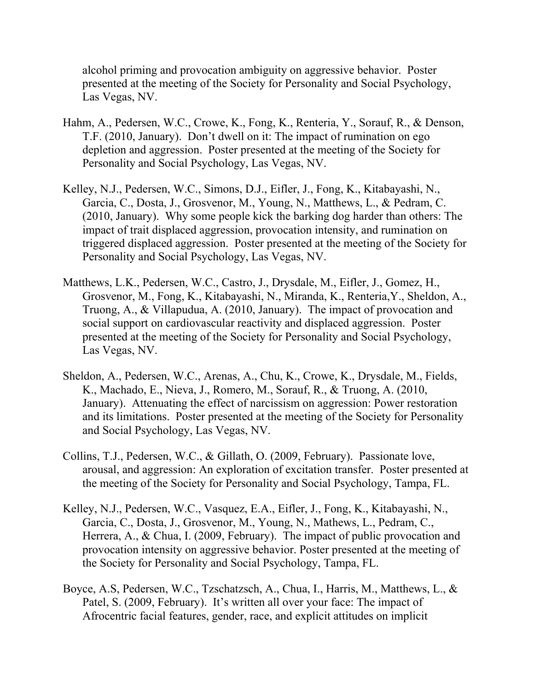alcohol priming and provocation ambiguity on aggressive behavior. Poster presented at the meeting of the Society for Personality and Social Psychology, Las Vegas, NV.

- Hahm, A., Pedersen, W.C., Crowe, K., Fong, K., Renteria, Y., Sorauf, R., & Denson, T.F. (2010, January). Don't dwell on it: The impact of rumination on ego depletion and aggression. Poster presented at the meeting of the Society for Personality and Social Psychology, Las Vegas, NV.
- Kelley, N.J., Pedersen, W.C., Simons, D.J., Eifler, J., Fong, K., Kitabayashi, N., Garcia, C., Dosta, J., Grosvenor, M., Young, N., Matthews, L., & Pedram, C. (2010, January). Why some people kick the barking dog harder than others: The impact of trait displaced aggression, provocation intensity, and rumination on triggered displaced aggression. Poster presented at the meeting of the Society for Personality and Social Psychology, Las Vegas, NV.
- Matthews, L.K., Pedersen, W.C., Castro, J., Drysdale, M., Eifler, J., Gomez, H., Grosvenor, M., Fong, K., Kitabayashi, N., Miranda, K., Renteria,Y., Sheldon, A., Truong, A., & Villapudua, A. (2010, January). The impact of provocation and social support on cardiovascular reactivity and displaced aggression. Poster presented at the meeting of the Society for Personality and Social Psychology, Las Vegas, NV.
- Sheldon, A., Pedersen, W.C., Arenas, A., Chu, K., Crowe, K., Drysdale, M., Fields, K., Machado, E., Nieva, J., Romero, M., Sorauf, R., & Truong, A. (2010, January). Attenuating the effect of narcissism on aggression: Power restoration and its limitations. Poster presented at the meeting of the Society for Personality and Social Psychology, Las Vegas, NV.
- Collins, T.J., Pedersen, W.C., & Gillath, O. (2009, February). Passionate love, arousal, and aggression: An exploration of excitation transfer. Poster presented at the meeting of the Society for Personality and Social Psychology, Tampa, FL.
- Kelley, N.J., Pedersen, W.C., Vasquez, E.A., Eifler, J., Fong, K., Kitabayashi, N., Garcia, C., Dosta, J., Grosvenor, M., Young, N., Mathews, L., Pedram, C., Herrera, A., & Chua, I. (2009, February). The impact of public provocation and provocation intensity on aggressive behavior. Poster presented at the meeting of the Society for Personality and Social Psychology, Tampa, FL.
- Boyce, A.S, Pedersen, W.C., Tzschatzsch, A., Chua, I., Harris, M., Matthews, L., & Patel, S. (2009, February). It's written all over your face: The impact of Afrocentric facial features, gender, race, and explicit attitudes on implicit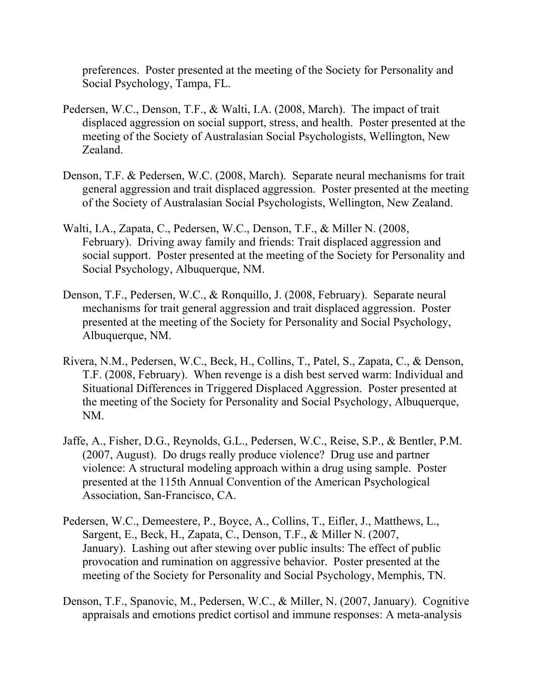preferences. Poster presented at the meeting of the Society for Personality and Social Psychology, Tampa, FL.

- Pedersen, W.C., Denson, T.F., & Walti, I.A. (2008, March). The impact of trait displaced aggression on social support, stress, and health. Poster presented at the meeting of the Society of Australasian Social Psychologists, Wellington, New Zealand.
- Denson, T.F. & Pedersen, W.C. (2008, March). Separate neural mechanisms for trait general aggression and trait displaced aggression. Poster presented at the meeting of the Society of Australasian Social Psychologists, Wellington, New Zealand.
- Walti, I.A., Zapata, C., Pedersen, W.C., Denson, T.F., & Miller N. (2008, February). Driving away family and friends: Trait displaced aggression and social support. Poster presented at the meeting of the Society for Personality and Social Psychology, Albuquerque, NM.
- Denson, T.F., Pedersen, W.C., & Ronquillo, J. (2008, February). Separate neural mechanisms for trait general aggression and trait displaced aggression. Poster presented at the meeting of the Society for Personality and Social Psychology, Albuquerque, NM.
- Rivera, N.M., Pedersen, W.C., Beck, H., Collins, T., Patel, S., Zapata, C., & Denson, T.F. (2008, February). When revenge is a dish best served warm: Individual and Situational Differences in Triggered Displaced Aggression. Poster presented at the meeting of the Society for Personality and Social Psychology, Albuquerque, NM.
- Jaffe, A., Fisher, D.G., Reynolds, G.L., Pedersen, W.C., Reise, S.P., & Bentler, P.M. (2007, August). Do drugs really produce violence? Drug use and partner violence: A structural modeling approach within a drug using sample. Poster presented at the 115th Annual Convention of the American Psychological Association, San-Francisco, CA.
- Pedersen, W.C., Demeestere, P., Boyce, A., Collins, T., Eifler, J., Matthews, L., Sargent, E., Beck, H., Zapata, C., Denson, T.F., & Miller N. (2007, January). Lashing out after stewing over public insults: The effect of public provocation and rumination on aggressive behavior. Poster presented at the meeting of the Society for Personality and Social Psychology, Memphis, TN.
- Denson, T.F., Spanovic, M., Pedersen, W.C., & Miller, N. (2007, January). Cognitive appraisals and emotions predict cortisol and immune responses: A meta-analysis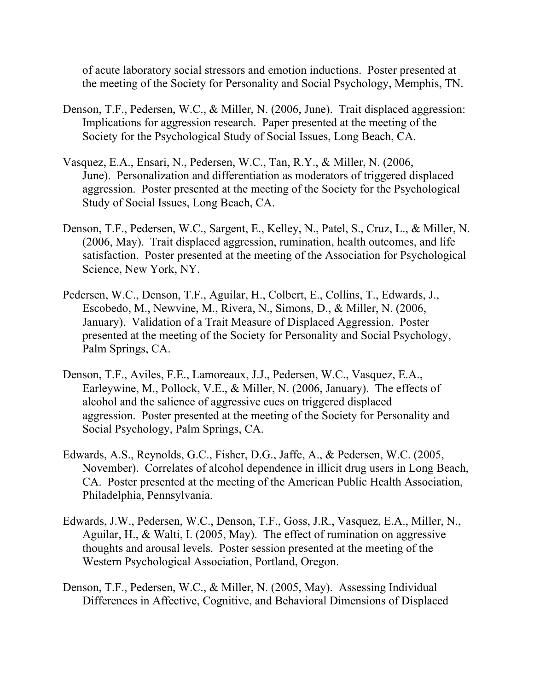of acute laboratory social stressors and emotion inductions. Poster presented at the meeting of the Society for Personality and Social Psychology, Memphis, TN.

- Denson, T.F., Pedersen, W.C., & Miller, N. (2006, June). Trait displaced aggression: Implications for aggression research. Paper presented at the meeting of the Society for the Psychological Study of Social Issues, Long Beach, CA.
- Vasquez, E.A., Ensari, N., Pedersen, W.C., Tan, R.Y., & Miller, N. (2006, June). Personalization and differentiation as moderators of triggered displaced aggression. Poster presented at the meeting of the Society for the Psychological Study of Social Issues, Long Beach, CA.
- Denson, T.F., Pedersen, W.C., Sargent, E., Kelley, N., Patel, S., Cruz, L., & Miller, N. (2006, May). Trait displaced aggression, rumination, health outcomes, and life satisfaction. Poster presented at the meeting of the Association for Psychological Science, New York, NY.
- Pedersen, W.C., Denson, T.F., Aguilar, H., Colbert, E., Collins, T., Edwards, J., Escobedo, M., Newvine, M., Rivera, N., Simons, D., & Miller, N. (2006, January). Validation of a Trait Measure of Displaced Aggression. Poster presented at the meeting of the Society for Personality and Social Psychology, Palm Springs, CA.
- Denson, T.F., Aviles, F.E., Lamoreaux, J.J., Pedersen, W.C., Vasquez, E.A., Earleywine, M., Pollock, V.E., & Miller, N. (2006, January). The effects of alcohol and the salience of aggressive cues on triggered displaced aggression. Poster presented at the meeting of the Society for Personality and Social Psychology, Palm Springs, CA.
- Edwards, A.S., Reynolds, G.C., Fisher, D.G., Jaffe, A., & Pedersen, W.C. (2005, November). Correlates of alcohol dependence in illicit drug users in Long Beach, CA. Poster presented at the meeting of the American Public Health Association, Philadelphia, Pennsylvania.
- Edwards, J.W., Pedersen, W.C., Denson, T.F., Goss, J.R., Vasquez, E.A., Miller, N., Aguilar, H., & Walti, I. (2005, May). The effect of rumination on aggressive thoughts and arousal levels. Poster session presented at the meeting of the Western Psychological Association, Portland, Oregon.
- Denson, T.F., Pedersen, W.C., & Miller, N. (2005, May). Assessing Individual Differences in Affective, Cognitive, and Behavioral Dimensions of Displaced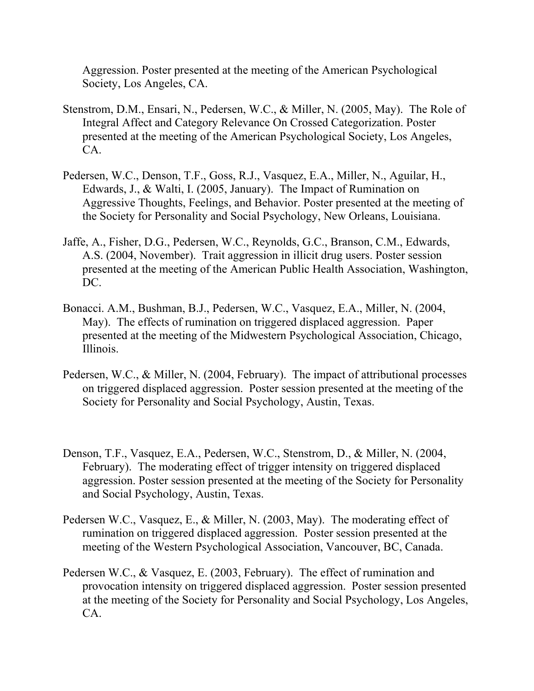Aggression. Poster presented at the meeting of the American Psychological Society, Los Angeles, CA.

- Stenstrom, D.M., Ensari, N., Pedersen, W.C., & Miller, N. (2005, May). The Role of Integral Affect and Category Relevance On Crossed Categorization. Poster presented at the meeting of the American Psychological Society, Los Angeles, CA.
- Pedersen, W.C., Denson, T.F., Goss, R.J., Vasquez, E.A., Miller, N., Aguilar, H., Edwards, J., & Walti, I. (2005, January). The Impact of Rumination on Aggressive Thoughts, Feelings, and Behavior. Poster presented at the meeting of the Society for Personality and Social Psychology, New Orleans, Louisiana.
- Jaffe, A., Fisher, D.G., Pedersen, W.C., Reynolds, G.C., Branson, C.M., Edwards, A.S. (2004, November). Trait aggression in illicit drug users. Poster session presented at the meeting of the American Public Health Association, Washington, DC.
- Bonacci. A.M., Bushman, B.J., Pedersen, W.C., Vasquez, E.A., Miller, N. (2004, May). The effects of rumination on triggered displaced aggression. Paper presented at the meeting of the Midwestern Psychological Association, Chicago, Illinois.
- Pedersen, W.C., & Miller, N. (2004, February). The impact of attributional processes on triggered displaced aggression. Poster session presented at the meeting of the Society for Personality and Social Psychology, Austin, Texas.
- Denson, T.F., Vasquez, E.A., Pedersen, W.C., Stenstrom, D., & Miller, N. (2004, February). The moderating effect of trigger intensity on triggered displaced aggression. Poster session presented at the meeting of the Society for Personality and Social Psychology, Austin, Texas.
- Pedersen W.C., Vasquez, E., & Miller, N. (2003, May). The moderating effect of rumination on triggered displaced aggression. Poster session presented at the meeting of the Western Psychological Association, Vancouver, BC, Canada.
- Pedersen W.C., & Vasquez, E. (2003, February). The effect of rumination and provocation intensity on triggered displaced aggression. Poster session presented at the meeting of the Society for Personality and Social Psychology, Los Angeles, CA.